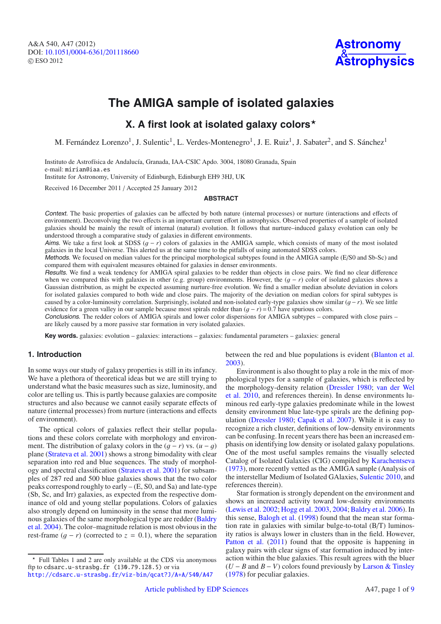

# **The AMIGA sample of isolated galaxies**

## **X. A first look at isolated galaxy colors\***

M. Fernández Lorenzo<sup>1</sup>, J. Sulentic<sup>1</sup>, L. Verdes-Montenegro<sup>1</sup>, J. E. Ruiz<sup>1</sup>, J. Sabater<sup>2</sup>, and S. Sánchez<sup>1</sup>

Instituto de Astrofísica de Andalucía, Granada, IAA-CSIC Apdo. 3004, 18080 Granada, Spain e-mail: mirian@iaa.es Institute for Astronomy, University of Edinburgh, Edinburgh EH9 3HJ, UK

Received 16 December 2011 / Accepted 25 January 2012

#### **ABSTRACT**

Context. The basic properties of galaxies can be affected by both nature (internal processes) or nurture (interactions and effects of environment). Deconvolving the two effects is an important current effort in astrophysics. Observed properties of a sample of isolated galaxies should be mainly the result of internal (natural) evolution. It follows that nurture–induced galaxy evolution can only be understood through a comparative study of galaxies in different environments.

Aims. We take a first look at SDSS  $(g - r)$  colors of galaxies in the AMIGA sample, which consists of many of the most isolated galaxies in the local Universe. This alerted us at the same time to the pitfalls of using automated SDSS colors.

Methods. We focused on median values for the principal morphological subtypes found in the AMIGA sample (E/S0 and Sb-Sc) and compared them with equivalent measures obtained for galaxies in denser environments.

Results. We find a weak tendency for AMIGA spiral galaxies to be redder than objects in close pairs. We find no clear difference when we compared this with galaxies in other (e.g. group) environments. However, the  $(g - r)$  color of isolated galaxies shows a Gaussian distribution, as might be expected assuming nurture-free evolution. We find a smaller median absolute deviation in colors for isolated galaxies compared to both wide and close pairs. The majority of the deviation on median colors for spiral subtypes is caused by a color-luminosity correlation. Surprisingly, isolated and non-isolated early-type galaxies show similar (g<sup>−</sup> *<sup>r</sup>*). We see little evidence for a green valley in our sample because most spirals redder than (g <sup>−</sup> *<sup>r</sup>*) <sup>=</sup> 0.7 have spurious colors.

Conclusions. The redder colors of AMIGA spirals and lower color dispersions for AMIGA subtypes – compared with close pairs – are likely caused by a more passive star formation in very isolated galaxies.

**Key words.** galaxies: evolution – galaxies: interactions – galaxies: fundamental parameters – galaxies: general

## **1. Introduction**

In some ways our study of galaxy properties is still in its infancy. We have a plethora of theoretical ideas but we are still trying to understand what the basic measures such as size, luminosity, and color are telling us. This is partly because galaxies are composite structures and also because we cannot easily separate effects of nature (internal processes) from nurture (interactions and effects of environment).

The optical colors of galaxies reflect their stellar populations and these colors correlate with morphology and environment. The distribution of galaxy colors in the  $(q - r)$  vs.  $(u - q)$ plane [\(Strateva et al. 2001](#page-8-0)) shows a strong bimodality with clear separation into red and blue sequences. The study of morphology and spectral classification [\(Strateva et al. 2001\)](#page-8-0) for subsamples of 287 red and 500 blue galaxies shows that the two color peaks correspond roughly to early – (E, S0, and Sa) and late-type (Sb, Sc, and Irr) galaxies, as expected from the respective dominance of old and young stellar populations. Colors of galaxies also strongly depend on luminosity in the sense that more luminous [galaxies](#page-8-1) [of](#page-8-1) [the](#page-8-1) [same](#page-8-1) [morphological](#page-8-1) [type](#page-8-1) [are](#page-8-1) [redder](#page-8-1) [\(](#page-8-1)Baldry et al. [2004](#page-8-1)). The color–magnitude relation is most obvious in the rest-frame  $(g - r)$  (corrected to  $z = 0.1$ ), where the separation between the red and blue populations is evident [\(Blanton et al.](#page-8-2) [2003\)](#page-8-2).

Environment is also thought to play a role in the mix of morphological types for a sample of galaxies, which is reflected by the [morphology-density relation](#page-8-4) [\(Dressler 1980](#page-8-3)[;](#page-8-4) van der Wel et al. [2010](#page-8-4), and references therein). In dense environments luminous red early-type galaxies predominate while in the lowest density environment blue late-type spirals are the defining population [\(Dressler 1980;](#page-8-3) [Capak et al. 2007](#page-8-5)). While it is easy to recognize a rich cluster, definitions of low-density environments can be confusing. In recent years there has been an increased emphasis on identifying low density or isolated galaxy populations. One of the most useful samples remains the visually selected Catalog of Isolated Galaxies (CIG) compiled by [Karachentseva](#page-8-6) [\(1973\)](#page-8-6), more recently vetted as the AMIGA sample (Analysis of the interstellar Medium of Isolated GAlaxies, [Sulentic 2010](#page-8-7), and references therein).

Star formation is strongly dependent on the environment and shows an increased activity toward low-density environments [\(Lewis et al. 2002;](#page-8-8) [Hogg et al. 2003](#page-8-9), [2004;](#page-8-10) [Baldry et al. 2006](#page-8-11)). In this sense, [Balogh et al.](#page-8-12) [\(1998](#page-8-12)) found that the mean star formation rate in galaxies with similar bulge-to-total (B/T) luminosity ratios is always lower in clusters than in the field. However, [Patton et al.](#page-8-13) [\(2011](#page-8-13)) found that the opposite is happening in galaxy pairs with clear signs of star formation induced by interaction within the blue galaxies. This result agrees with the bluer (*U* − *B* and *B* − *V*) colors found previously by [Larson & Tinsley](#page-8-14) [\(1978\)](#page-8-14) for peculiar galaxies.

<sup>-</sup> Full Tables 1 and 2 are only available at the CDS via anonymous ftp to cdsarc.u-strasbg.fr (130.79.128.5) or via <http://cdsarc.u-strasbg.fr/viz-bin/qcat?J/A+A/540/A47>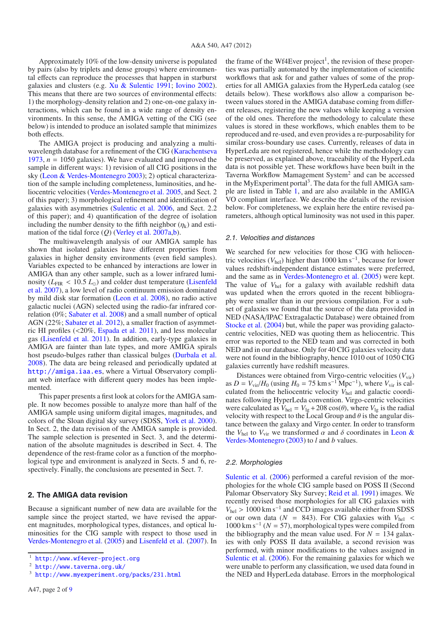Approximately 10% of the low-density universe is populated by pairs (also by triplets and dense groups) where environmental effects can reproduce the processes that happen in starburst galaxies and clusters (e.g. [Xu & Sulentic 1991;](#page-8-16) [Iovino 2002\)](#page-8-17). This means that there are two sources of environmental effects: 1) the morphology-density relation and 2) one-on-one galaxy interactions, which can be found in a wide range of density environments. In this sense, the AMIGA vetting of the CIG (see below) is intended to produce an isolated sample that minimizes both effects.

The AMIGA project is producing and analyzing a multiwavelength database for a refinement of the CIG [\(Karachentseva](#page-8-6) [1973,](#page-8-6)  $n = 1050$  galaxies). We have evaluated and improved the sample in different ways: 1) revision of all CIG positions in the sky [\(Leon & Verdes-Montenegro 2003](#page-8-18)); 2) optical characterization of the sample including completeness, luminosities, and heliocentric velocities [\(Verdes-Montenegro et al. 2005](#page-8-19), and Sect. 2 of this paper); 3) morphological refinement and identification of galaxies with asymmetries [\(Sulentic et al. 2006,](#page-8-20) and Sect. 2.2 of this paper); and 4) quantification of the degree of isolation including the number density to the fifth neighbor  $(\eta_k)$  and estimation of the tidal force (*Q*) [\(Verley et al. 2007a](#page-8-21)[,b\)](#page-8-22).

The multiwavelength analysis of our AMIGA sample has shown that isolated galaxies have different properties from galaxies in higher density environments (even field samples). Variables expected to be enhanced by interactions are lower in AMIGA than any other sample, such as a lower infrared luminosity ( $L_{\text{FIR}}$  < 10.5  $L_{\odot}$ [\) and colder dust temperature \(](#page-8-23)Lisenfeld et al. [2007\)](#page-8-23), a low level of radio continuum emission dominated by mild disk star formation [\(Leon et al. 2008](#page-8-24)), no radio active galactic nuclei (AGN) selected using the radio-far infrared correlation (0%; [Sabater et al. 2008](#page-8-25)) and a small number of optical AGN (22%; [Sabater et al. 2012](#page-8-26)), a smaller fraction of asymmetric HI profiles (<20%, [Espada et al. 2011\)](#page-8-27), and less molecular gas [\(Lisenfeld et al. 2011\)](#page-8-28). In addition, early-type galaxies in AMIGA are fainter than late types, and more AMIGA spirals host pseudo-bulges rather than classical bulges [\(Durbala et al.](#page-8-29) [2008\)](#page-8-29). The data are being released and periodically updated at <http://amiga.iaa.es>, where a Virtual Observatory compliant web interface with different query modes has been implemented.

This paper presents a first look at colors for the AMIGA sample. It now becomes possible to analyze more than half of the AMIGA sample using uniform digital images, magnitudes, and colors of the Sloan digital sky survey (SDSS, [York et al. 2000\)](#page-8-30). In Sect. 2, the data revision of the AMIGA sample is provided. The sample selection is presented in Sect. 3, and the determination of the absolute magnitudes is described in Sect. 4. The dependence of the rest-frame color as a function of the morphological type and environment is analyzed in Sects. 5 and 6, respectively. Finally, the conclusions are presented in Sect. 7.

## **2. The AMIGA data revision**

Because a significant number of new data are available for the sample since the project started, we have revised the apparent magnitudes, morphological types, distances, and optical luminosities for the CIG sample with respect to those used in [Verdes-Montenegro et al.](#page-8-19) [\(2005\)](#page-8-19) and [Lisenfeld et al.](#page-8-23) [\(2007\)](#page-8-23). In the frame of the Wf4Ever project<sup>1</sup>, the revision of these properties was partially automated by the implementation of scientific workflows that ask for and gather values of some of the properties for all AMIGA galaxies from the HyperLeda catalog (see details below). These workflows also allow a comparison between values stored in the AMIGA database coming from different releases, registering the new values while keeping a version of the old ones. Therefore the methodology to calculate these values is stored in these workflows, which enables them to be reproduced and re-used, and even provides a re-purposability for similar cross-boundary use cases. Currently, releases of data in HyperLeda are not registered, hence while the methodology can be preserved, as explained above, traceability of the HyperLeda data is not possible yet. These workflows have been built in the Taverna Workflow Mamagement System<sup>2</sup> and can be accessed in the MyExperiment portal<sup>3</sup>. The data for the full AMIGA sample are listed in Table [1,](#page-2-0) and are also available in the AMIGA VO compliant interface. We describe the details of the revision below. For completeness, we explain here the entire revised parameters, although optical luminosity was not used in this paper.

#### 2.1. Velocities and distances

We searched for new velocities for those CIG with heliocentric velocities ( $V_{hel}$ ) higher than 1000 km s<sup>-1</sup>, because for lower values redshift-independent distance estimates were preferred, and the same as in [Verdes-Montenegro et al.](#page-8-19) [\(2005](#page-8-19)) were kept. The value of  $V_{hel}$  for a galaxy with available redshift data was updated when the errors quoted in the recent bibliography were smaller than in our previous compilation. For a subset of galaxies we found that the source of the data provided in NED (NASA/IPAC Extragalactic Database) were obtained from [Stocke et al.](#page-8-31) [\(2004\)](#page-8-31) but, while the paper was providing galactocentric velocities, NED was quoting them as heliocentric. This error was reported to the NED team and was corrected in both NED and in our database. Only for 40 CIG galaxies velocity data were not found in the bibliography, hence 1010 out of 1050 CIG galaxies currently have redshift measures.

Distances were obtained from Virgo-centric velocities ( $V_{\text{vir}}$ ) as *D* =  $V_{\text{vir}}/H_0$  (using  $H_0 = 75 \text{ km s}^{-1} \text{ Mpc}^{-1}$ ), where  $V_{\text{vir}}$  is calculated from the heliocentric velocity *V*hel and galactic coordinates following HyperLeda convention. Virgo-centric velocities were calculated as  $V_{hel} = V_{lg} + 208 \cos(\theta)$ , where  $V_{lg}$  is the radial velocity with respect to the Local Group and  $\theta$  is the angular distance between the galaxy and Virgo center. In order to transform the *V*<sub>hel</sub> to *V*<sub>vir</sub> we transformed  $\alpha$  and  $\delta$  [coordinates](#page-8-18) [in](#page-8-18) Leon & Verdes-Montenegro [\(2003](#page-8-18)) to *l* and *b* values.

#### 2.2. Morphologies

Sulentic et al. [\(2006\)](#page-8-20) performed a careful revision of the morphologies for the whole CIG sample based on POSS II (Second Palomar Observatory Sky Survey; [Reid et al. 1991](#page-8-32)) images. We recently revised those morphologies for all CIG galaxies with  $V_{hel}$  > 1000 km s<sup>-1</sup> and CCD images available either from SDSS or our own data ( $N = 843$ ). For CIG galaxies with  $V_{hel} <$  $1000 \text{ km s}^{-1}$  ( $N = 57$ ), morphological types were compiled from the bibliography and the mean value used. For  $N = 134$  galaxies with only POSS II data available, a second revision was performed, with minor modifications to the values assigned in [Sulentic et al.](#page-8-20) [\(2006](#page-8-20)). For the remaining galaxies for which we were unable to perform any classification, we used data found in the NED and HyperLeda database. Errors in the morphological

<sup>1</sup> <http://www.wf4ever-project.org>

<sup>2</sup> <http://www.taverna.org.uk/>

<sup>3</sup> <http://www.myexperiment.org/packs/231.html>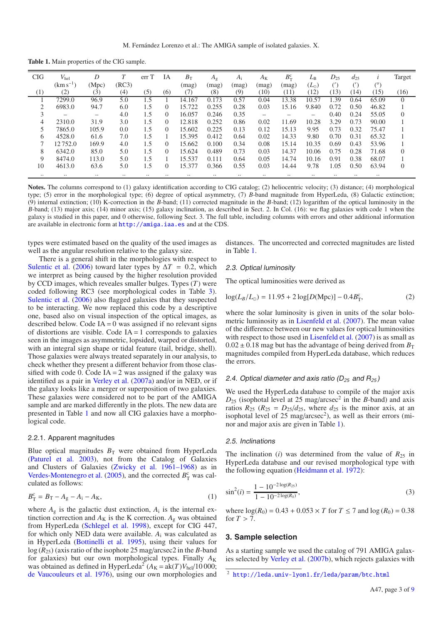<span id="page-2-0"></span>**Table 1.** Main properties of the CIG sample.

| <b>CIG</b> | $V_{\text{hel}}$ | D                        |               | errT | IA       | $B_{\rm T}$ | $A_{\rm g}$ | $A_i$ | $A_{\rm K}$       | $B_{\infty}^c$ | $L_{\rm B}$   | $D_{25}$          | $a_{25}$ |                | Target   |
|------------|------------------|--------------------------|---------------|------|----------|-------------|-------------|-------|-------------------|----------------|---------------|-------------------|----------|----------------|----------|
|            | $(km s^{-1})$    | (Mpc)                    | (RC3)         |      |          | (mag)       | (mag)       | (mag) | (mag)             | (mag)          | $(L_{\odot})$ | $^{\prime\prime}$ |          | $\binom{0}{0}$ |          |
| (1)        | (2)              | (3)                      | (4)           | (5)  | (6)      | (7)         | (8)         | (9)   | (10)              | (11)           | 12            | (13)              | (14)     | (15)           | (16)     |
|            | 7299.0           | 96.9                     | 5.0           |      |          | 14.167      | 0.173       | 0.57  | 0.04              | 13.38          | 10.57         | .39               | 0.64     | 65.09          | $\Omega$ |
| ∍          | 6983.0           | 94.7                     | 6.0           | 1.5  | $\Omega$ | 15.722      | 0.255       | 0.28  | 0.03              | 15.16          | 9.840         | 0.72              | 0.50     | 46.82          |          |
|            |                  | $\overline{\phantom{m}}$ | 4.0           | 1.5  | $\Omega$ | 16.057      | 0.246       | 0.35  | $\qquad \qquad -$ |                |               | 0.40              | 0.24     | 55.05          | $\Omega$ |
| 4          | 2310.0           | 31.9                     | 3.0           | 1.5  | $\Omega$ | 12.818      | 0.252       | 0.86  | 0.02              | 11.69          | 10.28         | 3.29              | 0.73     | 90.00          |          |
|            | 7865.0           | 105.9                    | 0.0           | 1.5  | $\Omega$ | 15.602      | 0.225       | 0.13  | 0.12              | 15.13          | 9.95          | 0.73              | 0.32     | 75.47          |          |
| 6          | 4528.0           | 61.6                     | 7.0           | 1.5  |          | 15.395      | 0.412       | 0.64  | 0.02              | 14.33          | 9.80          | 0.70              | 0.31     | 65.32          |          |
|            | 12752.0          | 169.9                    | 4.0           | 1.5  | $\Omega$ | 15.662      | 0.100       | 0.34  | 0.08              | 15.14          | 10.35         | 0.69              | 0.43     | 53.96          |          |
| 8          | 6342.0           | 85.0                     | 5.0           | 1.5  | $\Omega$ | 15.624      | 0.489       | 0.73  | 0.03              | 14.37          | 10.06         | 0.75              | 0.28     | 71.68          | $\Omega$ |
| 9          | 8474.0           | 113.0                    | 5.0           | 1.5  |          | 15.537      | 0.111       | 0.64  | 0.05              | 14.74          | 10.16         | 0.91              | 0.38     | 68.07          |          |
| 10         | 4613.0           | 63.6                     | 5.0           | 1.5  | $\Omega$ | 15.377      | 0.366       | 0.55  | 0.03              | 14.44          | 9.78          | 0.05              | 0.50     | 63.94          | $\Omega$ |
|            | $\cdot \cdot$    |                          | $\cdot \cdot$ |      |          |             |             |       |                   |                |               |                   |          | $\cdot \cdot$  |          |

**Notes.** The columns correspond to (1) galaxy identification according to CIG catalog; (2) heliocentric velocity; (3) distance; (4) morphological type; (5) error in the morphological type; (6) degree of optical asymmetry, (7) *B*-band magnitude from HyperLeda, (8) Galactic extinction; (9) internal extinction; (10) K-correction in the *B*-band; (11) corrected magnitude in the *B*-band; (12) logarithm of the optical luminosity in the *B*-band; (13) major axis; (14) minor axis; (15) galaxy inclination, as described in Sect. 2. In Col. (16): we flag galaxies with code 1 when the galaxy is studied in this paper, and 0 otherwise, following Sect. 3. The full table, including columns with errors and other additional information are available in electronic form at <http://amiga.iaa.es> and at the CDS.

types were estimated based on the quality of the used images as well as the angular resolution relative to the galaxy size.

There is a general shift in the morphologies with respect to [Sulentic et al.](#page-8-20) [\(2006\)](#page-8-20) toward later types by  $\Delta T = 0.2$ , which we interpret as being caused by the higher resolution provided by CCD images, which reveales smaller bulges. Types (*T*) were coded following RC3 (see morphological codes in Table [3\)](#page-6-0). [Sulentic et al.](#page-8-20) [\(2006\)](#page-8-20) also flagged galaxies that they suspected to be interacting. We now replaced this code by a descriptive one, based also on visual inspection of the optical images, as described below. Code  $IA = 0$  was assigned if no relevant signs of distortions are visible. Code  $IA = 1$  corresponds to galaxies seen in the images as asymmetric, lopsided, warped or distorted, with an integral sign shape or tidal feature (tail, bridge, shell). Those galaxies were always treated separately in our analysis, to check whether they present a different behavior from those classified with code 0. Code  $IA = 2$  was assigned if the galaxy was identified as a pair in [Verley et al.](#page-8-21) [\(2007a\)](#page-8-21) and/or in NED, or if the galaxy looks like a merger or superposition of two galaxies. These galaxies were considered not to be part of the AMIGA sample and are marked differently in the plots. The new data are presented in Table [1](#page-2-0) and now all CIG galaxies have a morphological code.

#### 2.2.1. Apparent magnitudes

Blue optical magnitudes  $B<sub>T</sub>$  were obtained from HyperLeda [\(Paturel et al. 2003\)](#page-8-33), not from the Catalog of Galaxies and Clusters of Galaxies [\(Zwicky et al. 1961–1968\)](#page-8-34) as in [Verdes-Montenegro et al.](#page-8-19) [\(2005\)](#page-8-19), and the corrected  $B_T^c$  was calculated as follows:

$$
B_{\rm T}^{\rm c} = B_{\rm T} - A_{\rm g} - A_{\rm i} - A_{\rm K},\tag{1}
$$

where  $A_g$  is the galactic dust extinction,  $A_i$  is the internal extinction correction and  $A_K$  is the K correction.  $A_g$  was obtained from HyperLeda [\(Schlegel et al. 1998\)](#page-8-35), except for CIG 447, for which only NED data were available. *A*<sup>i</sup> was calculated as in HyperLeda [\(Bottinelli et al. 1995\)](#page-8-36), using their values for log (*R*25) (axis ratio of the isophote 25 mag/arcsec2 in the *B*-band for galaxies) but our own morphological types. Finally  $A_K$ was obtained as defined in HyperLeda<sup>2</sup> ( $A_K = ak(T)V_{hel}/10000$ ; [de Vaucouleurs et al. 1976\)](#page-8-37), using our own morphologies and distances. The uncorrected and corrected magnitudes are listed in Table [1.](#page-2-0)

#### 2.3. Optical luminosity

The optical luminosities were derived as

$$
\log(L_B/L_{\odot}) = 11.95 + 2\log[D(\text{Mpc})] - 0.4B_{\text{T}}^c,\tag{2}
$$

where the solar luminosity is given in units of the solar bolometric luminosity as in [Lisenfeld et al.](#page-8-23) [\(2007\)](#page-8-23). The mean value of the difference between our new values for optical luminosities with respect to those used in [Lisenfeld et al.](#page-8-23) [\(2007\)](#page-8-23) is as small as  $0.02 \pm 0.18$  mag but has the advantage of being derived from  $B_T$ magnitudes compiled from HyperLeda database, which reduces the errors.

### 2.4. Optical diameter and axis ratio (D*<sup>25</sup>* and <sup>R</sup>*<sup>25</sup>* )

We used the HyperLeda database to compile of the major axis  $D_{25}$  (isophotal level at 25 mag/arcsec<sup>2</sup> in the *B*-band) and axis ratios  $R_{25}$  ( $R_{25} = D_{25}/d_{25}$ , where  $d_{25}$  is the minor axis, at an isophotal level of 25 mag/arcsec<sup>2</sup>), as well as their errors (minor and major axis are given in Table [1\)](#page-2-0).

#### 2.5. Inclinations

The inclination (*i*) was determined from the value of  $R_{25}$  in HyperLeda database and our revised morphological type with the following equation [\(Heidmann et al. 1972](#page-8-38)):

$$
\sin^2(i) = \frac{1 - 10^{-2\log(R_{25})}}{1 - 10^{-2\log(R_0)}},\tag{3}
$$

where  $log(R_0) = 0.43 + 0.053 \times T$  for  $T \le 7$  and  $log(R_0) = 0.38$ for  $T > 7$ .

#### **3. Sample selection**

As a starting sample we used the catalog of 791 AMIGA galaxies selected by [Verley et al.](#page-8-22) [\(2007b](#page-8-22)), which rejects galaxies with

<sup>2</sup> <http://leda.univ-lyon1.fr/leda/param/btc.html>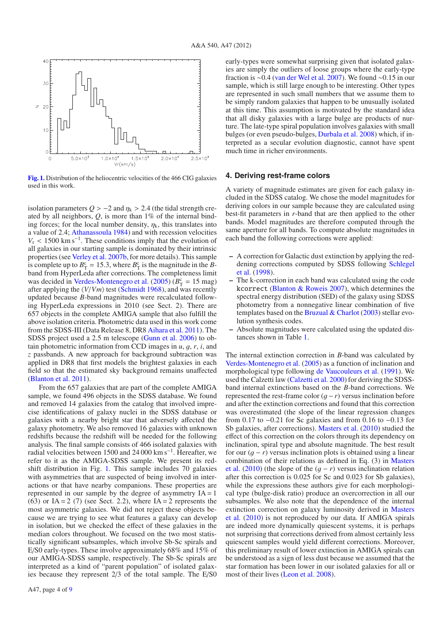<span id="page-3-0"></span>

**[Fig. 1.](http://dexter.edpsciences.org/applet.php?DOI=10.1051/0004-6361/201118660&pdf_id=1)** Distribution of the heliocentric velocities of the 466 CIG galaxies used in this work.

isolation parameters  $Q > -2$  and  $\eta_k > 2.4$  (the tidal strength created by all neighbors, *Q*, is more than 1% of the internal binding forces; for the local number density,  $\eta_k$ , this translates into a value of 2.4; [Athanassoula 1984\)](#page-8-39) and with recession velocities  $V_r$  < 1500 km s<sup>-1</sup>. These conditions imply that the evolution of all galaxies in our starting sample is dominated by their intrinsic properties (see [Verley et al. 2007b,](#page-8-22) for more details). This sample is complete up to  $B_{\rm T}^{\rm c} = 15.3$ , where  $B_{\rm T}^{\rm c}$  is the magnitude in the *B*-<br>band from Hyperl eda after corrections. The completeness limit band from HyperLeda after corrections. The completeness limit was decided in [Verdes-Montenegro et al.](#page-8-19) [\(2005\)](#page-8-19) ( $B_T^c = 15$  mag) after applying the  $\langle V/Vm \rangle$  test [\(Schmidt 1968](#page-8-40)), and was recently updated because *B*-band magnitudes were recalculated following HyperLeda expressions in 2010 (see Sect. 2). There are 657 objects in the complete AMIGA sample that also fulfill the above isolation criteria. Photometric data used in this work come from the SDSS-III (Data Release 8, DR8 [Aihara et al. 2011](#page-8-41)). The SDSS project used a 2.5 m telescope [\(Gunn et al. 2006](#page-8-42)) to obtain photometric information from CCD images in *<sup>u</sup>*, g, *<sup>r</sup>*, *<sup>i</sup>*, and *z* passbands. A new approach for background subtraction was applied in DR8 that first models the brightest galaxies in each field so that the estimated sky background remains unaffected [\(Blanton et al. 2011](#page-8-43)).

From the 657 galaxies that are part of the complete AMIGA sample, we found 496 objects in the SDSS database. We found and removed 14 galaxies from the catalog that involved imprecise identifications of galaxy nuclei in the SDSS database or galaxies with a nearby bright star that adversely affected the galaxy photometry. We also removed 16 galaxies with unknown redshifts because the redshift will be needed for the following analysis. The final sample consists of 466 isolated galaxies with radial velocities between 1500 and 24 000 km s−1. Hereafter, we refer to it as the AMIGA-SDSS sample. We present its redshift distribution in Fig. [1.](#page-3-0) This sample includes 70 galaxies with asymmetries that are suspected of being involved in interactions or that have nearby companions. These properties are represented in our sample by the degree of asymmetry  $IA = 1$ (63) or  $IA = 2$  (7) (see Sect. 2.2), where  $IA = 2$  represents the most asymmetric galaxies. We did not reject these objects because we are trying to see what features a galaxy can develop in isolation, but we checked the effect of these galaxies in the median colors throughout. We focused on the two most statistically significant subsamples, which involve Sb-Sc spirals and E/S0 early-types. These involve approximately 68% and 15% of our AMIGA-SDSS sample, respectively. The Sb-Sc spirals are interpreted as a kind of "parent population" of isolated galaxies because they represent 2/3 of the total sample. The E/S0 early-types were somewhat surprising given that isolated galaxies are simply the outliers of loose groups where the early-type fraction is ∼0.4 [\(van der Wel et al. 2007\)](#page-8-44). We found ∼0.15 in our sample, which is still large enough to be interesting. Other types are represented in such small numbers that we assume them to be simply random galaxies that happen to be unusually isolated at this time. This assumption is motivated by the standard idea that all disky galaxies with a large bulge are products of nurture. The late-type spiral population involves galaxies with small bulges (or even pseudo-bulges, [Durbala et al. 2008](#page-8-29)) which, if interpreted as a secular evolution diagnostic, cannot have spent much time in richer environments.

#### **4. Deriving rest-frame colors**

A variety of magnitude estimates are given for each galaxy included in the SDSS catalog. We chose the model magnitudes for deriving colors in our sample because they are calculated using best-fit parameters in *r*-band that are then applied to the other bands. Model magnitudes are therefore computed through the same aperture for all bands. To compute absolute magnitudes in each band the following corrections were applied:

- **–** A correction for Galactic dust extinction by applying the reddeni[ng](#page-8-35) [corrections](#page-8-35) [computed](#page-8-35) [by](#page-8-35) [SDSS](#page-8-35) [following](#page-8-35) Schlegel et al. [\(1998\)](#page-8-35).
- **–** The k-correction in each band was calculated using the code kcorrect [\(Blanton & Roweis 2007\)](#page-8-45), which determines the spectral energy distribution (SED) of the galaxy using SDSS photometry from a nonnegative linear combination of five templates based on the Bruzual  $&$  Charlot [\(2003](#page-8-46)) stellar evolution synthesis codes.
- **–** Absolute magnitudes were calculated using the updated distances shown in Table [1.](#page-2-0)

The internal extinction correction in *B*-band was calculated by [Verdes-Montenegro et al.](#page-8-19) [\(2005\)](#page-8-19) as a function of inclination and morphological type following [de Vaucouleurs et al.](#page-8-47) [\(1991\)](#page-8-47). We used the Calzetti law [\(Calzetti et al. 2000\)](#page-8-48) for deriving the SDSSband internal extinctions based on the *B*-band corrections. We represented the rest-frame color  $(g - r)$  versus inclination before and after the extinction corrections and found that this correction was overestimated (the slope of the linear regression changes from 0.17 to  $-0.21$  for Sc galaxies and from 0.16 to  $-0.13$  for Sb galaxies, after corrections). [Masters et al.](#page-8-49) [\(2010\)](#page-8-49) studied the effect of this correction on the colors through its dependency on inclination, spiral type and absolute magnitude. The best result for our  $(q - r)$  versus inclination plots is obtained using a linear com[bination of their relations as defined in Eq. \(3\) in](#page-8-49) Masters et al. [\(2010\)](#page-8-49) (the slope of the  $(g - r)$  versus inclination relation after this correction is 0.025 for Sc and 0.023 for Sb galaxies), while the expressions these authors give for each morphological type (bulge-disk ratio) produce an overcorrection in all our subsamples. We also note that the dependence of the internal extin[ction correction on galaxy luminosity derived in](#page-8-49) Masters et al. [\(2010\)](#page-8-49) is not reproduced by our data. If AMIGA spirals are indeed more dynamically quiescent systems, it is perhaps not surprising that corrections derived from almost certainly less quiescent samples would yield different corrections. Moreover, this preliminary result of lower extinction in AMIGA spirals can be understood as a sign of less dust because we assumed that the star formation has been lower in our isolated galaxies for all or most of their lives [\(Leon et al. 2008\)](#page-8-24).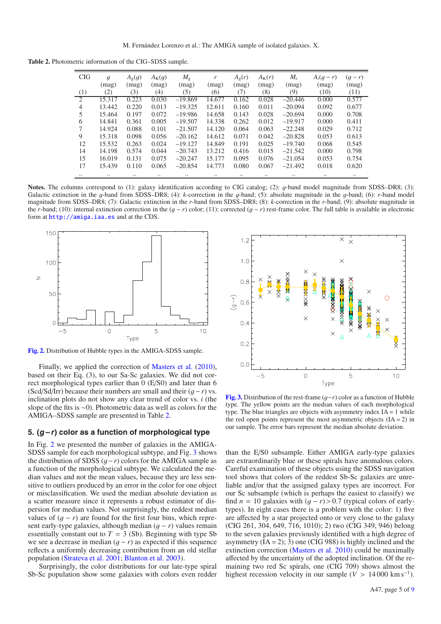<span id="page-4-0"></span>**Table 2.** Photometric information of the CIG–SDSS sample.

| <b>CIG</b>     | $\boldsymbol{q}$ | $A_{\rm g}(q)$ | $A_{\rm K}(g)$ | $M_{\rm g}$ | r      | $A_{\varphi}(r)$ | $A_{\rm K}(r)$ | $M_{\rm r}$ | $A_i(q-r)$ | $(q-r)$   |
|----------------|------------------|----------------|----------------|-------------|--------|------------------|----------------|-------------|------------|-----------|
|                | (mag)            | (mag)          | (mag)          | (mag)       | (mag)  | (mag)            | (mag)          | (mag)       | (mag)      | (mag)     |
| (1)            | (2)              | (3)            | (4)            | (5)         | (6)    | (7)              | (8)            | (9)         | (10)       | (11)      |
| 2              | 15.317           | 0.223          | 0.030          | $-19.869$   | 14.677 | 0.162            | 0.028          | $-20.446$   | 0.000      | 0.577     |
| $\overline{4}$ | 13.442           | 0.220          | 0.013          | $-19.325$   | 12.611 | 0.160            | 0.011          | $-20.094$   | 0.092      | 0.677     |
| 5              | 15.464           | 0.197          | 0.072          | $-19.986$   | 14.658 | 0.143            | 0.028          | $-20.694$   | 0.000      | 0.708     |
| 6              | 14.841           | 0.361          | 0.005          | $-19.507$   | 14.338 | 0.262            | 0.012          | $-19.917$   | 0.000      | 0.411     |
| 7              | 14.924           | 0.088          | 0.101          | $-21.507$   | 14.120 | 0.064            | 0.063          | $-22.248$   | 0.029      | 0.712     |
| 9              | 15.318           | 0.098          | 0.056          | $-20.162$   | 14.612 | 0.071            | 0.042          | $-20.828$   | 0.053      | 0.613     |
| 12             | 15.532           | 0.263          | 0.024          | $-19.127$   | 14.849 | 0.191            | 0.025          | $-19.740$   | 0.068      | 0.545     |
| 14             | 14.198           | 0.574          | 0.044          | $-20.743$   | 13.212 | 0.416            | 0.015          | $-21.542$   | 0.000      | 0.798     |
| 15             | 16.019           | 0.131          | 0.075          | $-20.247$   | 15.177 | 0.095            | 0.076          | $-21.054$   | 0.053      | 0.754     |
| 17             | 15.439           | 0.110          | 0.065          | $-20.854$   | 14.773 | 0.080            | 0.067          | $-21.492$   | 0.018      | 0.620     |
|                |                  |                |                |             |        |                  |                |             |            | $\ddotsc$ |

**Notes.** The columns correspond to (1): galaxy identification according to CIG catalog; (2): *q*-band model magnitude from SDSS–DR8; (3): Galactic extinction in the g-band from SDSS–DR8; (4): *<sup>k</sup>*-correction in the g-band; (5): absolute magnitude in the g-band; (6): *<sup>r</sup>*-band model magnitude from SDSS–DR8; (7): Galactic extinction in the *r*-band from SDSS–DR8; (8): *k*-correction in the *r*-band; (9): absolute magnitude in the *r*-band; (10): internal extinction correction in the  $(g - r)$  color; (11): corrected  $(g - r)$  rest-frame color. The full table is available in electronic form at <http://amiga.iaa.es> and at the CDS.

<span id="page-4-1"></span>

**[Fig. 2.](http://dexter.edpsciences.org/applet.php?DOI=10.1051/0004-6361/201118660&pdf_id=2)** Distribution of Hubble types in the AMIGA-SDSS sample.

Finally, we applied the correction of [Masters et al.](#page-8-49) [\(2010\)](#page-8-49), based on their Eq. (3), to our Sa-Sc galaxies. We did not correct morphological types earlier than 0 (E/S0) and later than 6 (Scd/Sd/Irr) because their numbers are small and their (g−*r*) vs. inclination plots do not show any clear trend of color vs. *i* (the slope of the fits is ∼0). Photometric data as well as colors for the AMIGA–SDSS sample are presented in Table [2.](#page-4-0)

## **5. (g–r) color as a function of morphological type**

In Fig. [2](#page-4-1) we presented the number of galaxies in the AMIGA-SDSS sample for each morphological subtype, and Fig. [3](#page-4-2) shows the distribution of SDSS (g−*r*) colors for the AMIGA sample as a function of the morphological subtype. We calculated the median values and not the mean values, because they are less sensitive to outliers produced by an error in the color for one object or misclassification. We used the median absolute deviation as a scatter measure since it represents a robust estimator of dispersion for median values. Not surprisingly, the reddest median values of  $(q - r)$  are found for the first four bins, which represent early-type galaxies, although median  $(q - r)$  values remain essentially constant out to  $T = 3$  (Sb). Beginning with type Sb we see a decrease in median  $(q - r)$  as expected if this sequence reflects a uniformly decreasing contribution from an old stellar population [\(Strateva et al. 2001;](#page-8-0) [Blanton et al. 2003\)](#page-8-2).

Surprisingly, the color distributions for our late-type spiral Sb-Sc population show some galaxies with colors even redder

<span id="page-4-2"></span>

**[Fig. 3.](http://dexter.edpsciences.org/applet.php?DOI=10.1051/0004-6361/201118660&pdf_id=3)** Distribution of the rest-frame (g−*r*) color as a function of Hubble type. The yellow points are the median values of each morphological type. The blue triangles are objects with asymmetry index  $IA = 1$  while the red open points represent the most asymmetric objects  $(IA = 2)$  in our sample. The error bars represent the median absolute deviation.

than the E/S0 subsample. Either AMIGA early-type galaxies are extraordinarily blue or these spirals have anomalous colors. Careful examination of these objects using the SDSS navigation tool shows that colors of the reddest Sb-Sc galaxies are unreliable and/or that the assigned galaxy types are incorrect. For our Sc subsample (which is perhaps the easiest to classify) we find  $n = 10$  galaxies with  $(q - r) > 0.7$  (typical colors of earlytypes). In eight cases there is a problem with the color: 1) five are affected by a star projected onto or very close to the galaxy (CIG 261, 304, 649, 716, 1010); 2) two (CIG 349, 946) belong to the seven galaxies previously identified with a high degree of asymmetry  $(IA = 2)$ ; 3) one  $(CIG 988)$  is highly inclined and the extinction correction [\(Masters et al. 2010](#page-8-49)) could be maximally affected by the uncertainty of the adopted inclination. Of the remaining two red Sc spirals, one (CIG 709) shows almost the highest recession velocity in our sample ( $V > 14000 \text{ km s}^{-1}$ ).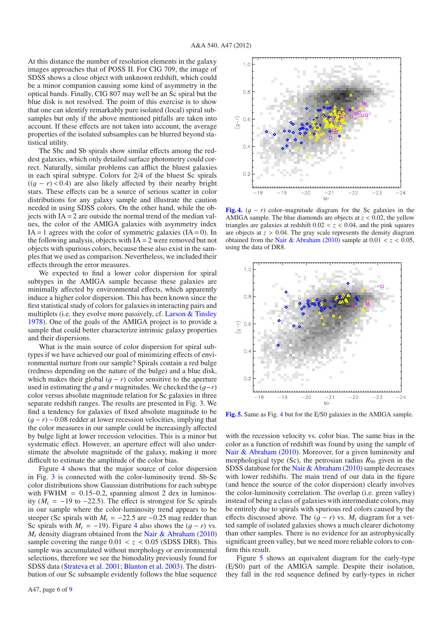At this distance the number of resolution elements in the galaxy images approaches that of POSS II. For CIG 709, the image of SDSS shows a close object with unknown redshift, which could be a minor companion causing some kind of asymmetry in the optical bands. Finally, CIG 807 may well be an Sc spiral but the blue disk is not resolved. The point of this exercise is to show that one can identify remarkably pure isolated (local) spiral subsamples but only if the above mentioned pitfalls are taken into account. If these effects are not taken into account, the average properties of the isolated subsamples can be blurred beyond statistical utility.

The Sbc and Sb spirals show similar effects among the reddest galaxies, which only detailed surface photometry could correct. Naturally, similar problems can afflict the bluest galaxies in each spiral subtype. Colors for 2/4 of the bluest Sc spirals  $((g - r) < 0.4)$  are also likely affected by their nearby bright stars. These effects can be a source of serious scatter in color distributions for any galaxy sample and illustrate the caution needed in using SDSS colors. On the other hand, while the objects with  $IA = 2$  are outside the normal trend of the median values, the color of the AMIGA galaxies with asymmetry index  $IA = 1$  agrees with the color of symmetric galaxies  $(IA = 0)$ . In the following analysis, objects with  $IA = 2$  were removed but not objects with spurious colors, because these also exist in the samples that we used as comparison. Nevertheless, we included their effects through the error measures.

We expected to find a lower color dispersion for spiral subtypes in the AMIGA sample because these galaxies are minimally affected by environmental effects, which apparently induce a higher color dispersion. This has been known since the first statistical study of colors for galaxies in interacting pairs and multiplets (i.e. they evolve more passively, cf. [Larson & Tinsley](#page-8-14) [1978\)](#page-8-14). One of the goals of the AMIGA project is to provide a sample that could better characterize intrinsic galaxy properties and their dispersions.

What is the main source of color dispersion for spiral subtypes if we have achieved our goal of minimizing effects of environmental nurture from our sample? Spirals contain a red bulge (redness depending on the nature of the bulge) and a blue disk, which makes their global  $(g - r)$  color sensitive to the aperture used in estimating the q and r magnitudes. We checked the  $(q-r)$ color versus absolute magnitude relation for Sc galaxies in three separate redshift ranges. The results are presented in Fig. 3. We find a tendency for galaxies of fixed absolute magnitude to be  $(q - r) \sim 0.08$  redder at lower recession velocities, implying that the color measures in our sample could be increasingly affected by bulge light at lower recession velocities. This is a minor but systematic effect. However, an aperture effect will also understimate the absolute magnitude of the galaxy, making it more difficult to estimate the amplitude of the color bias.

Figure [4](#page-5-0) shows that the major source of color dispersion in Fig. [3](#page-4-2) is connected with the color-luminosity trend. Sb-Sc color distributions show Gaussian distributions for each subtype with FWHM  $= 0.15-0.2$ , spanning almost 2 dex in luminosity ( $M_r$  = −19 to −22.5). The effect is strongest for Sc spirals in our sample where the color-luminosity trend appears to be steeper (Sc spirals with  $M_r = -22.5$  are ~0.25 mag redder than Sc spirals with  $M_r = -19$ ). Figure [4](#page-5-0) also shows the  $(q - r)$  vs. *M*<sup>r</sup> density diagram obtained from the [Nair & Abraham](#page-8-50) [\(2010](#page-8-50)) sample covering the range  $0.01 < z < 0.05$  (SDSS DR8). This sample was accumulated without morphology or environmental selections, therefore we see the bimodality previously found for SDSS data [\(Strateva et al. 2001](#page-8-0); [Blanton et al. 2003\)](#page-8-2). The distribution of our Sc subsample evidently follows the blue sequence

<span id="page-5-0"></span>

**[Fig. 4.](http://dexter.edpsciences.org/applet.php?DOI=10.1051/0004-6361/201118660&pdf_id=4)** (g <sup>−</sup> *<sup>r</sup>*) color–magnitude diagram for the Sc galaxies in the AMIGA sample. The blue diamonds are objects at  $z < 0.02$ , the yellow triangles are galaxies at redshift  $0.02 < z < 0.04$ , and the pink squares are objects at  $z > 0.04$ . The gray scale represents the density diagram obtained from the [Nair & Abraham](#page-8-50) [\(2010](#page-8-50)) sample at  $0.01 < z < 0.05$ , using the data of DR8.

<span id="page-5-1"></span>

**[Fig. 5.](http://dexter.edpsciences.org/applet.php?DOI=10.1051/0004-6361/201118660&pdf_id=5)** Same as Fig. [4](#page-5-0) but for the E/S0 galaxies in the AMIGA sample.

with the recession velocity vs. color bias. The same bias in the color as a function of redshift was found by using the sample of [Nair & Abraham](#page-8-50) [\(2010\)](#page-8-50). Moreover, for a given luminosity and morphological type (Sc), the petrosian radius  $R_{90}$  given in the SDSS database for the [Nair & Abraham](#page-8-50) [\(2010\)](#page-8-50) sample decreases with lower redshifts. The main trend of our data in the figure (and hence the source of the color dispersion) clearly involves the color-luminosity correlation. The overlap (i.e. green valley) instead of being a class of galaxies with intermediate colors, may be entirely due to spirals with spurious red colors caused by the effects discussed above. The  $(q - r)$  vs.  $M_r$  diagram for a vetted sample of isolated galaxies shows a much clearer dichotomy than other samples. There is no evidence for an astrophysically significant green valley, but we need more reliable colors to confirm this result.

Figure [5](#page-5-1) shows an equivalent diagram for the early-type (E/S0) part of the AMIGA sample. Despite their isolation, they fall in the red sequence defined by early-types in richer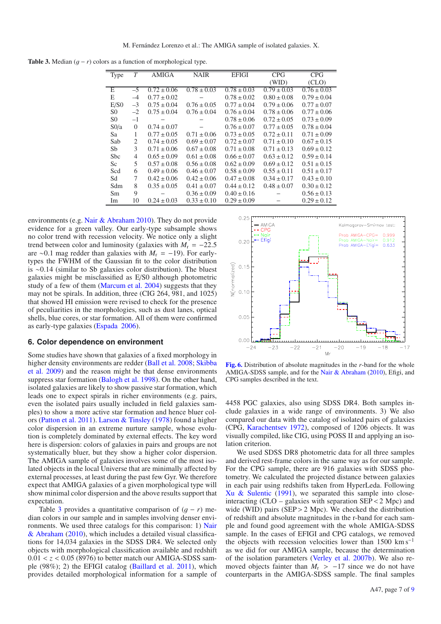<span id="page-6-0"></span>**Table 3.** Median  $(g - r)$  colors as a function of morphological type.

| <b>Type</b>    | T              | AMIGA           | <b>NAIR</b>     | <b>EFIGI</b>    | <b>CPG</b>      | <b>CPG</b>      |
|----------------|----------------|-----------------|-----------------|-----------------|-----------------|-----------------|
|                |                |                 |                 |                 | (WID)           | (CLO)           |
| E              | $-5$           | $0.72 \pm 0.06$ | $0.78 \pm 0.03$ | $0.78 \pm 0.03$ | $0.79 \pm 0.03$ | $0.76 \pm 0.03$ |
| E              | $-4$           | $0.77 \pm 0.02$ |                 | $0.78 \pm 0.02$ | $0.80 \pm 0.08$ | $0.79 \pm 0.04$ |
| E/S0           | $-3$           | $0.75 \pm 0.04$ | $0.76 \pm 0.05$ | $0.77 \pm 0.04$ | $0.79 \pm 0.06$ | $0.77 \pm 0.07$ |
| S <sub>0</sub> | $-2$           | $0.75 \pm 0.04$ | $0.76 \pm 0.04$ | $0.76 \pm 0.04$ | $0.78 \pm 0.06$ | $0.77 \pm 0.06$ |
| S <sub>0</sub> | $-1$           |                 |                 | $0.78 \pm 0.06$ | $0.72 \pm 0.05$ | $0.73 \pm 0.09$ |
| S0/a           | $\overline{0}$ | $0.74 \pm 0.07$ |                 | $0.76 \pm 0.07$ | $0.77 \pm 0.05$ | $0.78 \pm 0.04$ |
| Sa             | 1              | $0.77 \pm 0.05$ | $0.71 \pm 0.06$ | $0.73 \pm 0.05$ | $0.72 \pm 0.11$ | $0.71 \pm 0.09$ |
| Sab            | 2              | $0.74 \pm 0.05$ | $0.69 \pm 0.07$ | $0.72 \pm 0.07$ | $0.71 \pm 0.10$ | $0.67 \pm 0.15$ |
| Sb             | 3              | $0.71 \pm 0.06$ | $0.67 \pm 0.08$ | $0.71 \pm 0.08$ | $0.71 \pm 0.13$ | $0.69 \pm 0.12$ |
| Sbc            | 4              | $0.65 \pm 0.09$ | $0.61 \pm 0.08$ | $0.66 \pm 0.07$ | $0.63 \pm 0.12$ | $0.59 \pm 0.14$ |
| Sc             | 5              | $0.57 \pm 0.08$ | $0.56 \pm 0.08$ | $0.62 \pm 0.09$ | $0.69 \pm 0.12$ | $0.51 \pm 0.15$ |
| Scd            | 6              | $0.49 \pm 0.06$ | $0.46 \pm 0.07$ | $0.58 \pm 0.09$ | $0.55 \pm 0.11$ | $0.51 \pm 0.17$ |
| Sd             | 7              | $0.42 \pm 0.06$ | $0.42 \pm 0.06$ | $0.47 \pm 0.08$ | $0.34 \pm 0.17$ | $0.43 \pm 0.10$ |
| Sdm            | 8              | $0.35 \pm 0.05$ | $0.41 \pm 0.07$ | $0.44 \pm 0.12$ | $0.48 \pm 0.07$ | $0.30 \pm 0.12$ |
| Sm             | 9              |                 | $0.36 \pm 0.09$ | $0.40 \pm 0.16$ |                 | $0.56 \pm 0.13$ |
| Im             | 10             | $0.24 \pm 0.03$ | $0.33 \pm 0.10$ | $0.29 \pm 0.09$ |                 | $0.29 \pm 0.12$ |

environments (e.g. [Nair & Abraham 2010\)](#page-8-50). They do not provide evidence for a green valley. Our early-type subsample shows no color trend with recession velocity. We notice only a slight trend between color and luminosity (galaxies with  $M_r = -22.5$ are ∼0.1 mag redder than galaxies with *M*<sup>r</sup> = −19). For earlytypes the FWHM of the Gaussian fit to the color distribution is ∼0.14 (similar to Sb galaxies color distribution). The bluest galaxies might be misclassified as E/S0 although photometric study of a few of them [\(Marcum et al. 2004](#page-8-51)) suggests that they may not be spirals. In addition, three (CIG 264, 981, and 1025) that showed HI emission were revised to check for the presence of peculiarities in the morphologies, such as dust lanes, optical shells, blue cores, or star formation. All of them were confirmed as early-type galaxies [\(Espada 2006\)](#page-8-52).

#### **6. Color dependence on environment**

Some studies have shown that galaxies of a fixed morphology in high[er density environments are redder](#page-8-54) [\(Ball et al. 2008](#page-8-53)[;](#page-8-54) Skibba et al. [2009](#page-8-54)) and the reason might be that dense environments suppress star formation [\(Balogh et al. 1998\)](#page-8-12). On the other hand, isolated galaxies are likely to show passive star formation, which leads one to expect spirals in richer environments (e.g. pairs, even the isolated pairs usually included in field galaxies samples) to show a more active star formation and hence bluer colors [\(Patton et al. 2011](#page-8-13)). [Larson & Tinsley](#page-8-14) [\(1978\)](#page-8-14) found a higher color dispersion in an extreme nurture sample, whose evolution is completely dominated by external effects. The key word here is dispersion: colors of galaxies in pairs and groups are not systematically bluer, but they show a higher color dispersion. The AMIGA sample of galaxies involves some of the most isolated objects in the local Universe that are minimally affected by external processes, at least during the past few Gyr. We therefore expect that AMIGA galaxies of a given morphological type will show minimal color dispersion and the above results support that expectation.

Table [3](#page-6-0) provides a quantitative comparison of  $(q - r)$  median colors in our sample and in samples involving denser environments. [We](#page-8-50) [used](#page-8-50) [three](#page-8-50) [catalogs](#page-8-50) [for](#page-8-50) [this](#page-8-50) [comparison:](#page-8-50) [1\)](#page-8-50) Nair & Abraham [\(2010\)](#page-8-50), which includes a detailed visual classifications for 14,034 galaxies in the SDSS DR4. We selected only objects with morphological classification available and redshift  $0.01 < z < 0.05$  (8976) to better match our AMIGA-SDSS sample (98%); 2) the EFIGI catalog [\(Baillard et al. 2011\)](#page-8-55), which provides detailed morphological information for a sample of

<span id="page-6-1"></span>

**[Fig. 6.](http://dexter.edpsciences.org/applet.php?DOI=10.1051/0004-6361/201118660&pdf_id=6)** Distribution of absolute magnitudes in the *r*-band for the whole AMIGA-SDSS sample, and for the [Nair & Abraham](#page-8-50) [\(2010\)](#page-8-50), Efigi, and CPG samples described in the text.

4458 PGC galaxies, also using SDSS DR4. Both samples include galaxies in a wide range of environments. 3) We also compared our data with the catalog of isolated pairs of galaxies (CPG, [Karachentsev 1972\)](#page-8-56), composed of 1206 objects. It was visually compiled, like CIG, using POSS II and applying an isolation criterion.

We used SDSS DR8 photometric data for all three samples and derived rest-frame colors in the same way as for our sample. For the CPG sample, there are 916 galaxies with SDSS photometry. We calculated the projected distance between galaxies in each pair using redshifts taken from HyperLeda. Following [Xu & Sulentic](#page-8-16) [\(1991\)](#page-8-16), we separated this sample into closeinteracting (CLO – galaxies with separation SEP< 2 Mpc) and wide (WID) pairs ( $\text{SEP} > 2$  Mpc). We checked the distribution of redshift and absolute magnitudes in the r-band for each sample and found good agreement with the whole AMIGA-SDSS sample. In the cases of EFIGI and CPG catalogs, we removed the objects with recession velocities lower than  $1500 \text{ km s}^{-1}$ as we did for our AMIGA sample, because the determination of the isolation parameters [\(Verley et al. 2007b\)](#page-8-22). We also removed objects fainter than  $M_r$  > −17 since we do not have counterparts in the AMIGA-SDSS sample. The final samples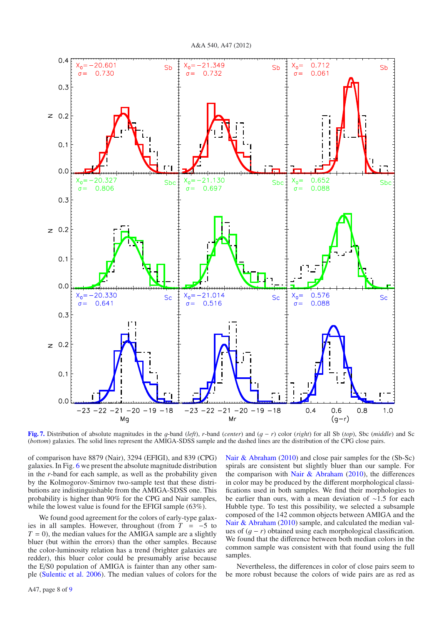

<span id="page-7-0"></span>**[Fig. 7.](http://dexter.edpsciences.org/applet.php?DOI=10.1051/0004-6361/201118660&pdf_id=7)** Distribution of absolute magnitudes in the g-band (*left*), *<sup>r</sup>*-band (*center*) and (g <sup>−</sup> *<sup>r</sup>*) color (*right*) for all Sb (*top*), Sbc (*middle*) and Sc (*bottom*) galaxies. The solid lines represent the AMIGA-SDSS sample and the dashed lines are the distribution of the CPG close pairs.

of comparison have 8879 (Nair), 3294 (EFIGI), and 839 (CPG) galaxies. In Fig. [6](#page-6-1) we present the absolute magnitude distribution in the *r*-band for each sample, as well as the probability given by the Kolmogorov-Smirnov two-sample test that these distributions are indistinguishable from the AMIGA-SDSS one. This probability is higher than 90% for the CPG and Nair samples, while the lowest value is found for the EFIGI sample (63%).

We found good agreement for the colors of early-type galaxies in all samples. However, throughout (from  $T = -5$  to  $T = 0$ , the median values for the AMIGA sample are a slightly bluer (but within the errors) than the other samples. Because the color-luminosity relation has a trend (brighter galaxies are redder), this bluer color could be presumably arise because the E/S0 population of AMIGA is fainter than any other sample [\(Sulentic et al. 2006\)](#page-8-20). The median values of colors for the [Nair & Abraham](#page-8-50) [\(2010](#page-8-50)) and close pair samples for the (Sb-Sc) spirals are consistent but slightly bluer than our sample. For the comparison with Nair  $\&$  Abraham [\(2010](#page-8-50)), the differences in color may be produced by the different morphological classifications used in both samples. We find their morphologies to be earlier than ours, with a mean deviation of ∼1.5 for each Hubble type. To test this possibility, we selected a subsample composed of the 142 common objects between AMIGA and the [Nair & Abraham](#page-8-50) [\(2010](#page-8-50)) sample, and calculated the median values of  $(q - r)$  obtained using each morphological classification. We found that the difference between both median colors in the common sample was consistent with that found using the full samples.

Nevertheless, the differences in color of close pairs seem to be more robust because the colors of wide pairs are as red as